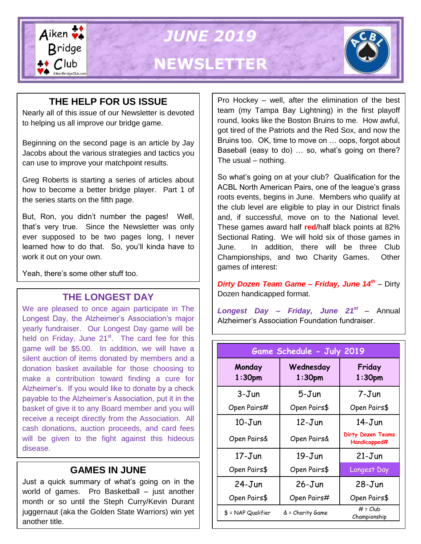

### **THE HELP FOR US ISSUE**

Nearly all of this issue of our Newsletter is devoted to helping us all improve our bridge game.

Beginning on the second page is an article by Jay Jacobs about the various strategies and tactics you can use to improve your matchpoint results.

Greg Roberts is starting a series of articles about how to become a better bridge player. Part 1 of the series starts on the fifth page.

But, Ron, you didn't number the pages! Well, that's very true. Since the Newsletter was only ever supposed to be two pages long, I never learned how to do that. So, you'll kinda have to work it out on your own.

Yeah, there's some other stuff too.

#### **THE LONGEST DAY**

We are pleased to once again participate in The Longest Day, the Alzheimer's Association's major yearly fundraiser. Our Longest Day game will be held on Friday, June  $21<sup>st</sup>$ . The card fee for this game will be \$5.00. In addition, we will have a silent auction of items donated by members and a donation basket available for those choosing to make a contribution toward finding a cure for Alzheimer's. If you would like to donate by a check payable to the Alzheimer's Association, put it in the basket of give it to any Board member and you will receive a receipt directly from the Association. All cash donations, auction proceeds, and card fees will be given to the fight against this hideous disease.

#### **GAMES IN JUNE**

Just a quick summary of what's going on in the world of games. Pro Basketball – just another month or so until the Steph Curry/Kevin Durant juggernaut (aka the Golden State Warriors) win yet another title.

Pro Hockey – well, after the elimination of the best team (my Tampa Bay Lightning) in the first playoff round, looks like the Boston Bruins to me. How awful, got tired of the Patriots and the Red Sox, and now the Bruins too. OK, time to move on … oops, forgot about Baseball (easy to do) … so, what's going on there? The usual – nothing.

So what's going on at your club? Qualification for the ACBL North American Pairs, one of the league's grass roots events, begins in June. Members who qualify at the club level are eligible to play in our District finals and, if successful, move on to the National level. These games award half **red**/half black points at 82% Sectional Rating. We will hold six of those games in June. In addition, there will be three Club Championships, and two Charity Games. Other games of interest:

*Dirty Dozen Team Game – Friday, June 14th* – Dirty Dozen handicapped format.

*Longest Day – Friday, June 21st* – Annual Alzheimer's Association Foundation fundraiser.

| Game Schedule - July 2019    |                        |                                          |  |  |
|------------------------------|------------------------|------------------------------------------|--|--|
| Monday<br>1:30 <sub>pm</sub> | Wednesday<br>$1:30$ pm | Friday<br>1:30 <sub>pm</sub>             |  |  |
| 3-Jun                        | 5-Jun                  | 7-Jun                                    |  |  |
| Open Pairs#                  | Open Pairs\$           | Open Pairs\$                             |  |  |
| $10 - J$ un                  | $12 - Jun$             | $14 - Jun$                               |  |  |
| Open Pairs&                  | Open Pairs&            | <b>Dirty Dozen Teams</b><br>Handicapped# |  |  |
| 17-Jun                       | $19 - Jun$             | $21 - Jun$                               |  |  |
| Open Pairs\$                 | Open Pairs\$           | Longest Day                              |  |  |
| $24 - Jun$                   | $26 - Jun$             | $28 - Jun$                               |  |  |
| Open Pairs\$                 | Open Pairs#            | Open Pairs\$                             |  |  |
| $$ = NAP$ Qualifier          | & = Charity Game       | $#$ = $Club$<br>Championship             |  |  |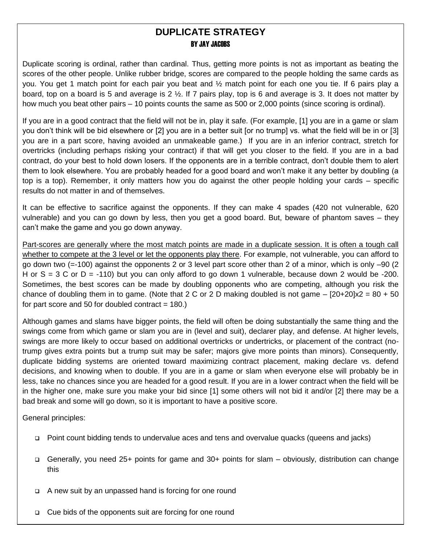#### **DUPLICATE STRATEGY BY JAY JACOBS**

Duplicate scoring is ordinal, rather than cardinal. Thus, getting more points is not as important as beating the scores of the other people. Unlike rubber bridge, scores are compared to the people holding the same cards as you. You get 1 match point for each pair you beat and ½ match point for each one you tie. If 6 pairs play a board, top on a board is 5 and average is 2  $\frac{1}{2}$ . If 7 pairs play, top is 6 and average is 3. It does not matter by how much you beat other pairs – 10 points counts the same as 500 or 2,000 points (since scoring is ordinal).

If you are in a good contract that the field will not be in, play it safe. (For example, [1] you are in a game or slam you don't think will be bid elsewhere or [2] you are in a better suit [or no trump] vs. what the field will be in or [3] you are in a part score, having avoided an unmakeable game.) If you are in an inferior contract, stretch for overtricks (including perhaps risking your contract) if that will get you closer to the field. If you are in a bad contract, do your best to hold down losers. If the opponents are in a terrible contract, don't double them to alert them to look elsewhere. You are probably headed for a good board and won't make it any better by doubling (a top is a top). Remember, it only matters how you do against the other people holding your cards – specific results do not matter in and of themselves.

It can be effective to sacrifice against the opponents. If they can make 4 spades (420 not vulnerable, 620 vulnerable) and you can go down by less, then you get a good board. But, beware of phantom saves – they can't make the game and you go down anyway.

Part-scores are generally where the most match points are made in a duplicate session. It is often a tough call whether to compete at the 3 level or let the opponents play there. For example, not vulnerable, you can afford to go down two (=-100) against the opponents 2 or 3 level part score other than 2 of a minor, which is only –90 (2 H or  $S = 3$  C or  $D = -110$ ) but you can only afford to go down 1 vulnerable, because down 2 would be -200. Sometimes, the best scores can be made by doubling opponents who are competing, although you risk the chance of doubling them in to game. (Note that 2 C or 2 D making doubled is not game  $-$  [20+20]x2 = 80 + 50 for part score and 50 for doubled contract  $= 180$ .)

Although games and slams have bigger points, the field will often be doing substantially the same thing and the swings come from which game or slam you are in (level and suit), declarer play, and defense. At higher levels, swings are more likely to occur based on additional overtricks or undertricks, or placement of the contract (notrump gives extra points but a trump suit may be safer; majors give more points than minors). Consequently, duplicate bidding systems are oriented toward maximizing contract placement, making declare vs. defend decisions, and knowing when to double. If you are in a game or slam when everyone else will probably be in less, take no chances since you are headed for a good result. If you are in a lower contract when the field will be in the higher one, make sure you make your bid since [1] some others will not bid it and/or [2] there may be a bad break and some will go down, so it is important to have a positive score.

General principles:

-

- Point count bidding tends to undervalue aces and tens and overvalue quacks (queens and jacks)
- Generally, you need 25+ points for game and 30+ points for slam obviously, distribution can change this
- □ A new suit by an unpassed hand is forcing for one round
- □ Cue bids of the opponents suit are forcing for one round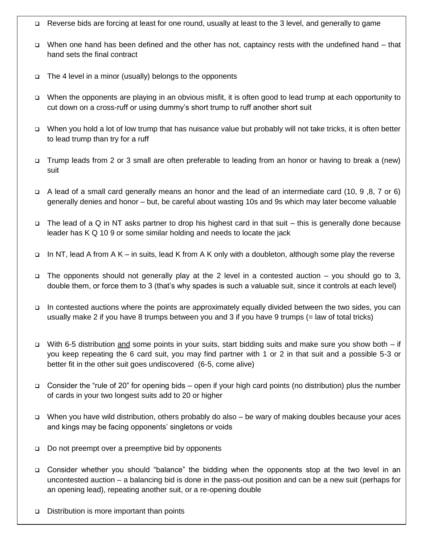- Reverse bids are forcing at least for one round, usually at least to the 3 level, and generally to game
- When one hand has been defined and the other has not, captaincy rests with the undefined hand that hand sets the final contract
- $\Box$  The 4 level in a minor (usually) belongs to the opponents
- When the opponents are playing in an obvious misfit, it is often good to lead trump at each opportunity to cut down on a cross-ruff or using dummy's short trump to ruff another short suit
- When you hold a lot of low trump that has nuisance value but probably will not take tricks, it is often better to lead trump than try for a ruff
- Trump leads from 2 or 3 small are often preferable to leading from an honor or having to break a (new) suit
- $\Box$  A lead of a small card generally means an honor and the lead of an intermediate card (10, 9,8, 7 or 6) generally denies and honor – but, be careful about wasting 10s and 9s which may later become valuable
- $\Box$  The lead of a Q in NT asks partner to drop his highest card in that suit this is generally done because leader has K Q 10 9 or some similar holding and needs to locate the jack
- In NT, lead A from A K in suits, lead K from A K only with a doubleton, although some play the reverse
- $\Box$  The opponents should not generally play at the 2 level in a contested auction you should go to 3, double them, or force them to 3 (that's why spades is such a valuable suit, since it controls at each level)
- usually make 2 if you have 8 trumps between you and 3 if you have 9 trumps (= law of total tricks) In contested auctions where the points are approximately equally divided between the two sides, you can
- With 6-5 distribution and some points in your suits, start bidding suits and make sure you show both if you keep repeating the 6 card suit, you may find partner with 1 or 2 in that suit and a possible 5-3 or better fit in the other suit goes undiscovered (6-5, come alive)
- Peard points (no □ Consider the "rule of 20" for opening bids – open if your high card points (no distribution) plus the number of cards in your two longest suits add to 20 or higher
- When you have wild distribution, others probably do also be wary of making doubles because your aces and kings may be facing opponents' singletons or voids
- □ Do not preempt over a preemptive bid by opponents
- Consider whether you should "balance" the bidding when the opponents stop at the two level in an uncontested auction – a balancing bid is done in the pass-out position and can be a new suit (perhaps for an opening lead), repeating another suit, or a re-opening double
- □ Distribution is more important than points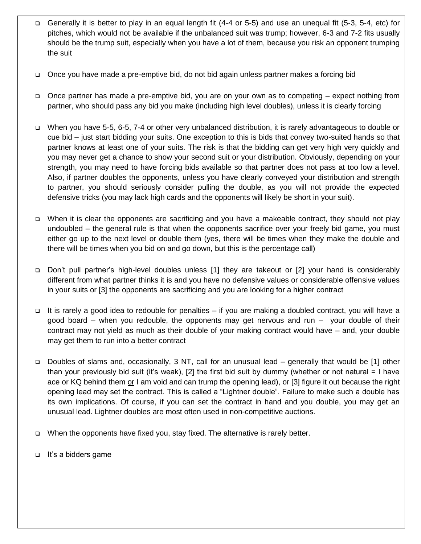- Generally it is better to play in an equal length fit (4-4 or 5-5) and use an unequal fit (5-3, 5-4, etc) for pitches, which would not be available if the unbalanced suit was trump; however, 6-3 and 7-2 fits usually should be the trump suit, especially when you have a lot of them, because you risk an opponent trumping the suit
- Once you have made a pre-emptive bid, do not bid again unless partner makes a forcing bid
- Once partner has made a pre-emptive bid, you are on your own as to competing expect nothing from partner, who should pass any bid you make (including high level doubles), unless it is clearly forcing
- When you have 5-5, 6-5, 7-4 or other very unbalanced distribution, it is rarely advantageous to double or cue bid – just start bidding your suits. One exception to this is bids that convey two-suited hands so that partner knows at least one of your suits. The risk is that the bidding can get very high very quickly and you may never get a chance to show your second suit or your distribution. Obviously, depending on your strength, you may need to have forcing bids available so that partner does not pass at too low a level. Also, if partner doubles the opponents, unless you have clearly conveyed your distribution and strength to partner, you should seriously consider pulling the double, as you will not provide the expected defensive tricks (you may lack high cards and the opponents will likely be short in your suit).
- When it is clear the opponents are sacrificing and you have a makeable contract, they should not play undoubled – the general rule is that when the opponents sacrifice over your freely bid game, you must either go up to the next level or double them (yes, there will be times when they make the double and there will be times when you bid on and go down, but this is the percentage call)
- Don't pull partner's high-level doubles unless [1] they are takeout or [2] your hand is considerably different from what partner thinks it is and you have no defensive values or considerable offensive values in your suits or [3] the opponents are sacrificing and you are looking for a higher contract
- It is rarely a good idea to redouble for penalties if you are making a doubled contract, you will have a good board – when you redouble, the opponents may get nervous and run – your double of their contract may not yield as much as their double of your making contract would have – and, your double may get them to run into a better contract
- □ Doubles of slams and, occasionally, 3 NT, call for an unusual lead generally that would be [1] other than your previously bid suit (it's weak), [2] the first bid suit by dummy (whether or not natural = I have ace or KQ behind them or I am void and can trump the opening lead), or [3] figure it out because the right opening lead may set the contract. This is called a "Lightner double". Failure to make such a double has its own implications. Of course, if you can set the contract in hand and you double, you may get an unusual lead. Lightner doubles are most often used in non-competitive auctions.
- When the opponents have fixed you, stay fixed. The alternative is rarely better.
- It's a bidders game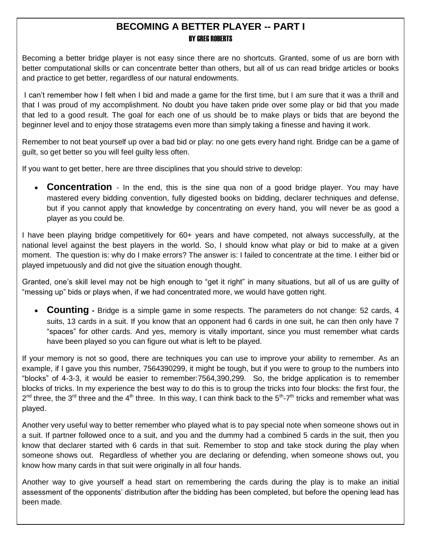#### **BECOMING A BETTER PLAYER -- PART I** BY GREG ROBERTS

Becoming a better bridge player is not easy since there are no shortcuts. Granted, some of us are born with better computational skills or can concentrate better than others, but all of us can read bridge articles or books and practice to get better, regardless of our natural endowments.

I can't remember how I felt when I bid and made a game for the first time, but I am sure that it was a thrill and that I was proud of my accomplishment. No doubt you have taken pride over some play or bid that you made that led to a good result. The goal for each one of us should be to make plays or bids that are beyond the beginner level and to enjoy those stratagems even more than simply taking a finesse and having it work.

Remember to not beat yourself up over a bad bid or play: no one gets every hand right. Bridge can be a game of guilt, so get better so you will feel guilty less often.

If you want to get better, here are three disciplines that you should strive to develop:

 **Concentration** - In the end, this is the sine qua non of a good bridge player. You may have mastered every bidding convention, fully digested books on bidding, declarer techniques and defense, but if you cannot apply that knowledge by concentrating on every hand, you will never be as good a player as you could be.

I have been playing bridge competitively for 60+ years and have competed, not always successfully, at the national level against the best players in the world. So, I should know what play or bid to make at a given moment. The question is: why do I make errors? The answer is: I failed to concentrate at the time. I either bid or played impetuously and did not give the situation enough thought.

Granted, one's skill level may not be high enough to "get it right" in many situations, but all of us are guilty of "messing up" bids or plays when, if we had concentrated more, we would have gotten right.

 **Counting -** Bridge is a simple game in some respects. The parameters do not change: 52 cards, 4 suits, 13 cards in a suit. If you know that an opponent had 6 cards in one suit, he can then only have 7 "spaces" for other cards. And yes, memory is vitally important, since you must remember what cards have been played so you can figure out what is left to be played.

If your memory is not so good, there are techniques you can use to improve your ability to remember. As an example, if I gave you this number, 7564390299, it might be tough, but if you were to group to the numbers into "blocks" of 4-3-3, it would be easier to remember:7564,390,299. So, the bridge application is to remember blocks of tricks. In my experience the best way to do this is to group the tricks into four blocks: the first four, the  $2^{nd}$  three, the 3<sup>rd</sup> three and the 4<sup>th</sup> three. In this way, I can think back to the 5<sup>th</sup>-7<sup>th</sup> tricks and remember what was played.

Another very useful way to better remember who played what is to pay special note when someone shows out in a suit. If partner followed once to a suit, and you and the dummy had a combined 5 cards in the suit, then you know that declarer started with 6 cards in that suit. Remember to stop and take stock during the play when someone shows out. Regardless of whether you are declaring or defending, when someone shows out, you know how many cards in that suit were originally in all four hands.

Another way to give yourself a head start on remembering the cards during the play is to make an initial assessment of the opponents' distribution after the bidding has been completed, but before the opening lead has been made.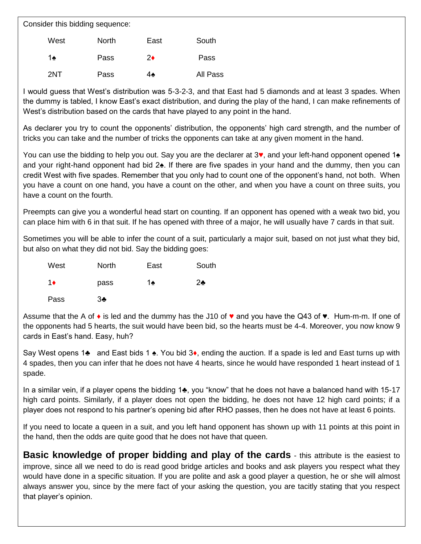Consider this bidding sequence:

| West | <b>North</b> | East | South    |
|------|--------------|------|----------|
| 1♠   | Pass         | 2♦   | Pass     |
| 2NT  | Pass         | 4♠   | All Pass |

I would guess that West's distribution was 5-3-2-3, and that East had 5 diamonds and at least 3 spades. When the dummy is tabled, I know East's exact distribution, and during the play of the hand, I can make refinements of West's distribution based on the cards that have played to any point in the hand.

As declarer you try to count the opponents' distribution, the opponents' high card strength, and the number of tricks you can take and the number of tricks the opponents can take at any given moment in the hand.

You can use the bidding to help you out. Say you are the declarer at 3♥, and your left-hand opponent opened 1♠ and your right-hand opponent had bid 2♠. If there are five spades in your hand and the dummy, then you can credit West with five spades. Remember that you only had to count one of the opponent's hand, not both. When you have a count on one hand, you have a count on the other, and when you have a count on three suits, you have a count on the fourth.

Preempts can give you a wonderful head start on counting. If an opponent has opened with a weak two bid, you can place him with 6 in that suit. If he has opened with three of a major, he will usually have 7 cards in that suit.

Sometimes you will be able to infer the count of a suit, particularly a major suit, based on not just what they bid, but also on what they did not bid. Say the bidding goes:

| West       | North          | East | South |
|------------|----------------|------|-------|
| $1\bullet$ | pass           | 1♠   | $2$ ♣ |
| Pass       | 3 <sub>2</sub> |      |       |

Assume that the A of  $\bullet$  is led and the dummy has the J10 of  $\bullet$  and you have the Q43 of  $\bullet$ . Hum-m-m. If one of the opponents had 5 hearts, the suit would have been bid, so the hearts must be 4-4. Moreover, you now know 9 cards in East's hand. Easy, huh?

Say West opens 1♣ and East bids 1 ♠. You bid 3♦, ending the auction. If a spade is led and East turns up with 4 spades, then you can infer that he does not have 4 hearts, since he would have responded 1 heart instead of 1 spade.

In a similar vein, if a player opens the bidding 1♣, you "know" that he does not have a balanced hand with 15-17 high card points. Similarly, if a player does not open the bidding, he does not have 12 high card points; if a player does not respond to his partner's opening bid after RHO passes, then he does not have at least 6 points.

If you need to locate a queen in a suit, and you left hand opponent has shown up with 11 points at this point in the hand, then the odds are quite good that he does not have that queen.

**Basic knowledge of proper bidding and play of the cards** - this attribute is the easiest to improve, since all we need to do is read good bridge articles and books and ask players you respect what they would have done in a specific situation. If you are polite and ask a good player a question, he or she will almost always answer you, since by the mere fact of your asking the question, you are tacitly stating that you respect that player's opinion.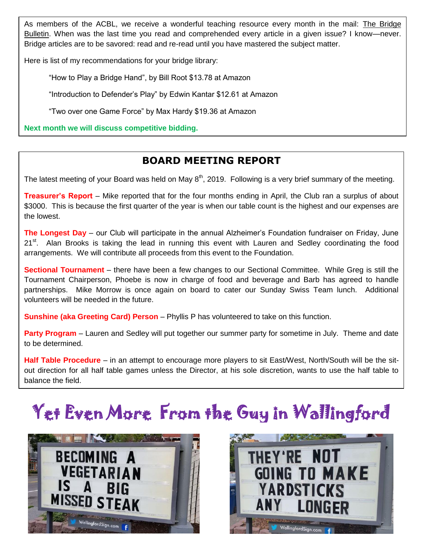As members of the ACBL, we receive a wonderful teaching resource every month in the mail: The Bridge Bulletin. When was the last time you read and comprehended every article in a given issue? I know—never. Bridge articles are to be savored: read and re-read until you have mastered the subject matter.

Here is list of my recommendations for your bridge library:

"How to Play a Bridge Hand", by Bill Root \$13.78 at Amazon

"Introduction to Defender's Play" by Edwin Kantar \$12.61 at Amazon

"Two over one Game Force" by Max Hardy \$19.36 at Amazon

**Next month we will discuss competitive bidding.**

## **BOARD MEETING REPORT**

The latest meeting of your Board was held on May  $8<sup>th</sup>$ , 2019. Following is a very brief summary of the meeting.

**Treasurer's Report** – Mike reported that for the four months ending in April, the Club ran a surplus of about \$3000. This is because the first quarter of the year is when our table count is the highest and our expenses are the lowest.

**The Longest Day** – our Club will participate in the annual Alzheimer's Foundation fundraiser on Friday, June 21<sup>st</sup>. Alan Brooks is taking the lead in running this event with Lauren and Sedley coordinating the food arrangements. We will contribute all proceeds from this event to the Foundation.

**Sectional Tournament** – there have been a few changes to our Sectional Committee. While Greg is still the Tournament Chairperson, Phoebe is now in charge of food and beverage and Barb has agreed to handle partnerships. Mike Morrow is once again on board to cater our Sunday Swiss Team lunch. Additional volunteers will be needed in the future.

**Sunshine (aka Greeting Card) Person** – Phyllis P has volunteered to take on this function.

**Party Program** – Lauren and Sedley will put together our summer party for sometime in July. Theme and date to be determined.

**Half Table Procedure** – in an attempt to encourage more players to sit East/West, North/South will be the sitout direction for all half table games unless the Director, at his sole discretion, wants to use the half table to balance the field.

# Yet Even More From the Guy in Wallingford